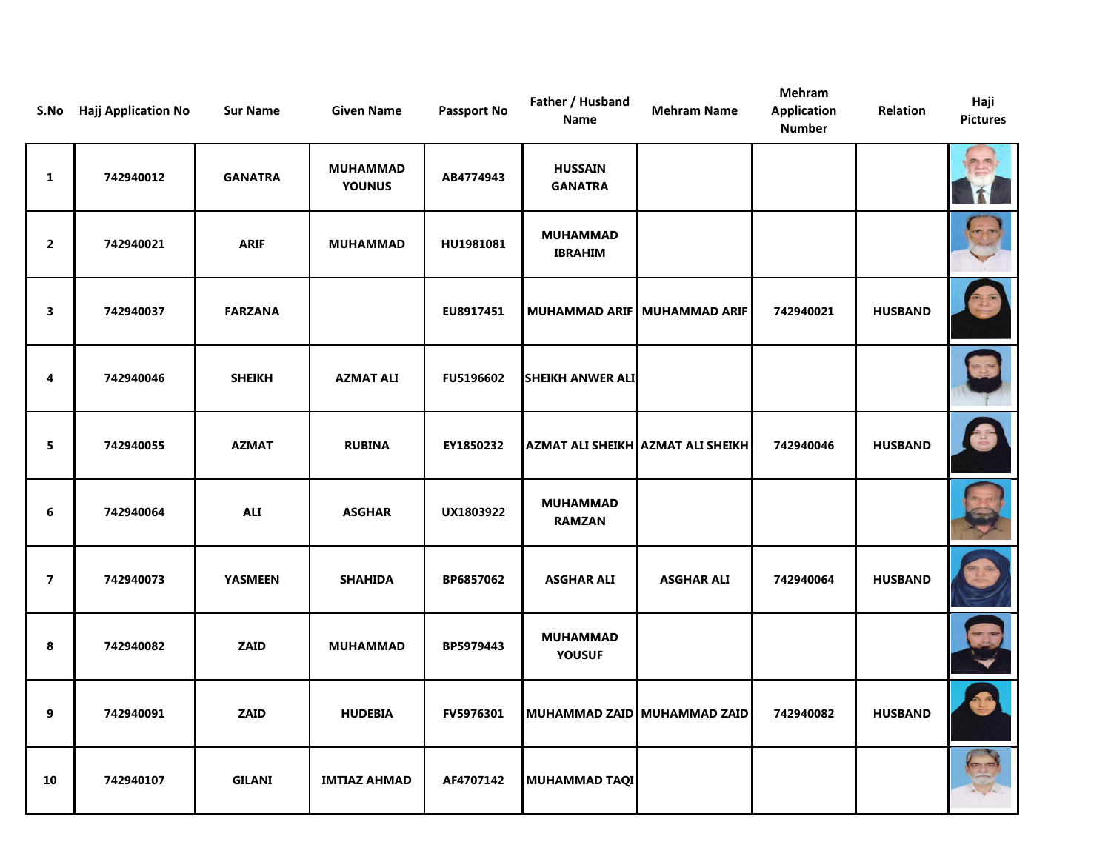| S.No                    | <b>Hajj Application No</b> | <b>Sur Name</b> | <b>Given Name</b>                | <b>Passport No</b> | Father / Husband<br>Name          | <b>Mehram Name</b>                   | Mehram<br><b>Application</b><br><b>Number</b> | Relation       | Haji<br><b>Pictures</b> |
|-------------------------|----------------------------|-----------------|----------------------------------|--------------------|-----------------------------------|--------------------------------------|-----------------------------------------------|----------------|-------------------------|
| $\mathbf{1}$            | 742940012                  | <b>GANATRA</b>  | <b>MUHAMMAD</b><br><b>YOUNUS</b> | AB4774943          | <b>HUSSAIN</b><br><b>GANATRA</b>  |                                      |                                               |                |                         |
| $\overline{2}$          | 742940021                  | <b>ARIF</b>     | <b>MUHAMMAD</b>                  | HU1981081          | <b>MUHAMMAD</b><br><b>IBRAHIM</b> |                                      |                                               |                |                         |
| 3                       | 742940037                  | <b>FARZANA</b>  |                                  | EU8917451          |                                   | <b>MUHAMMAD ARIF   MUHAMMAD ARIF</b> | 742940021                                     | <b>HUSBAND</b> |                         |
| 4                       | 742940046                  | <b>SHEIKH</b>   | <b>AZMAT ALI</b>                 | <b>FU5196602</b>   | <b>SHEIKH ANWER ALI</b>           |                                      |                                               |                |                         |
| 5 <sub>5</sub>          | 742940055                  | <b>AZMAT</b>    | <b>RUBINA</b>                    | EY1850232          |                                   | AZMAT ALI SHEIKH AZMAT ALI SHEIKH    | 742940046                                     | <b>HUSBAND</b> | $\mathbb{E}$            |
| 6                       | 742940064                  | <b>ALI</b>      | <b>ASGHAR</b>                    | UX1803922          | <b>MUHAMMAD</b><br><b>RAMZAN</b>  |                                      |                                               |                |                         |
| $\overline{\mathbf{z}}$ | 742940073                  | <b>YASMEEN</b>  | <b>SHAHIDA</b>                   | BP6857062          | <b>ASGHAR ALI</b>                 | <b>ASGHAR ALI</b>                    | 742940064                                     | <b>HUSBAND</b> |                         |
| 8                       | 742940082                  | <b>ZAID</b>     | <b>MUHAMMAD</b>                  | BP5979443          | <b>MUHAMMAD</b><br><b>YOUSUF</b>  |                                      |                                               |                |                         |
| 9                       | 742940091                  | <b>ZAID</b>     | <b>HUDEBIA</b>                   | FV5976301          |                                   | MUHAMMAD ZAID MUHAMMAD ZAID          | 742940082                                     | <b>HUSBAND</b> |                         |
| 10                      | 742940107                  | <b>GILANI</b>   | <b>IMTIAZ AHMAD</b>              | AF4707142          | <b>MUHAMMAD TAQI</b>              |                                      |                                               |                |                         |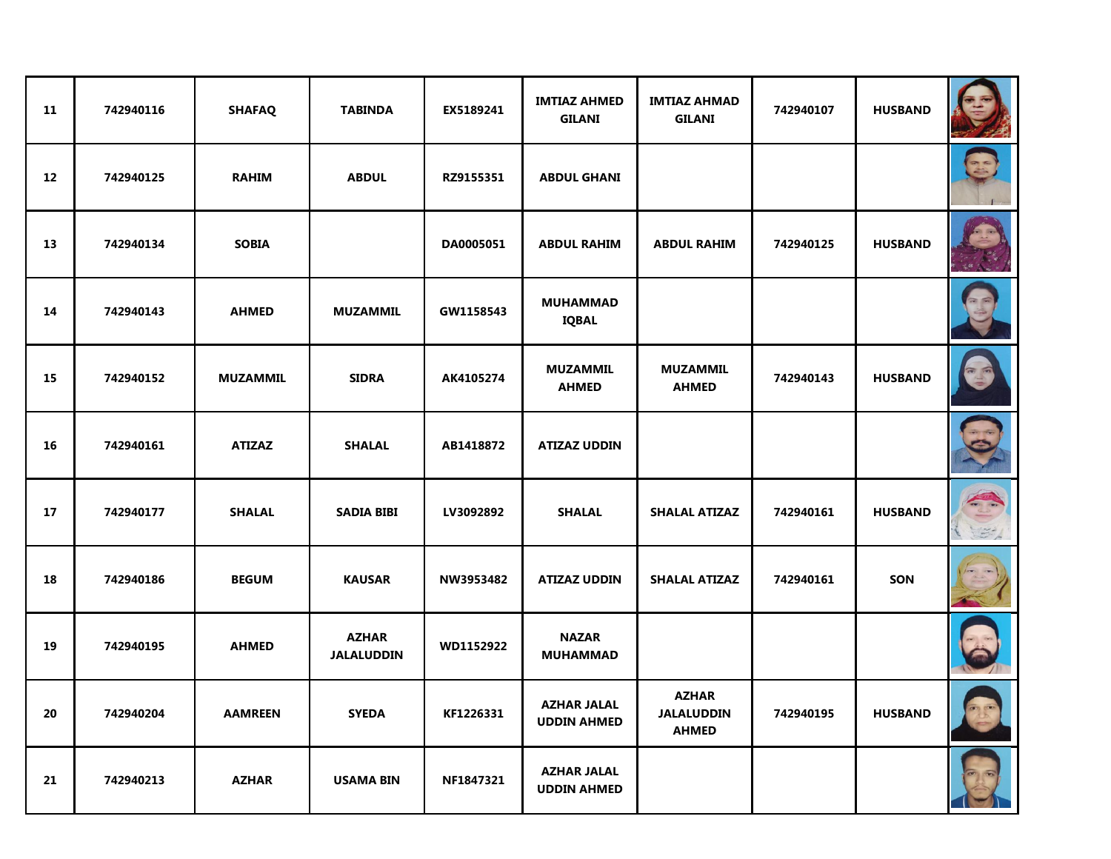| 11 | 742940116 | <b>SHAFAQ</b>   | <b>TABINDA</b>                    | EX5189241 | <b>IMTIAZ AHMED</b><br><b>GILANI</b>     | <b>IMTIAZ AHMAD</b><br><b>GILANI</b>              | 742940107 | <b>HUSBAND</b> |                                          |
|----|-----------|-----------------|-----------------------------------|-----------|------------------------------------------|---------------------------------------------------|-----------|----------------|------------------------------------------|
| 12 | 742940125 | <b>RAHIM</b>    | <b>ABDUL</b>                      | RZ9155351 | <b>ABDUL GHANI</b>                       |                                                   |           |                | $\Rightarrow$ $\Rightarrow$              |
| 13 | 742940134 | <b>SOBIA</b>    |                                   | DA0005051 | <b>ABDUL RAHIM</b>                       | <b>ABDUL RAHIM</b>                                | 742940125 | <b>HUSBAND</b> |                                          |
| 14 | 742940143 | <b>AHMED</b>    | <b>MUZAMMIL</b>                   | GW1158543 | <b>MUHAMMAD</b><br><b>IQBAL</b>          |                                                   |           |                |                                          |
| 15 | 742940152 | <b>MUZAMMIL</b> | <b>SIDRA</b>                      | AK4105274 | <b>MUZAMMIL</b><br><b>AHMED</b>          | <b>MUZAMMIL</b><br><b>AHMED</b>                   | 742940143 | <b>HUSBAND</b> |                                          |
| 16 | 742940161 | <b>ATIZAZ</b>   | <b>SHALAL</b>                     | AB1418872 | <b>ATIZAZ UDDIN</b>                      |                                                   |           |                |                                          |
| 17 | 742940177 | <b>SHALAL</b>   | <b>SADIA BIBI</b>                 | LV3092892 | <b>SHALAL</b>                            | <b>SHALAL ATIZAZ</b>                              | 742940161 | <b>HUSBAND</b> | $\left  \frac{1}{\sqrt{2}} \right $<br>3 |
| 18 | 742940186 | <b>BEGUM</b>    | <b>KAUSAR</b>                     | NW3953482 | <b>ATIZAZ UDDIN</b>                      | <b>SHALAL ATIZAZ</b>                              | 742940161 | SON            |                                          |
| 19 | 742940195 | <b>AHMED</b>    | <b>AZHAR</b><br><b>JALALUDDIN</b> | WD1152922 | <b>NAZAR</b><br><b>MUHAMMAD</b>          |                                                   |           |                |                                          |
| 20 | 742940204 | <b>AAMREEN</b>  | <b>SYEDA</b>                      | KF1226331 | <b>AZHAR JALAL</b><br><b>UDDIN AHMED</b> | <b>AZHAR</b><br><b>JALALUDDIN</b><br><b>AHMED</b> | 742940195 | <b>HUSBAND</b> | <b>PASS</b>                              |
| 21 | 742940213 | <b>AZHAR</b>    | <b>USAMA BIN</b>                  | NF1847321 | <b>AZHAR JALAL</b><br><b>UDDIN AHMED</b> |                                                   |           |                |                                          |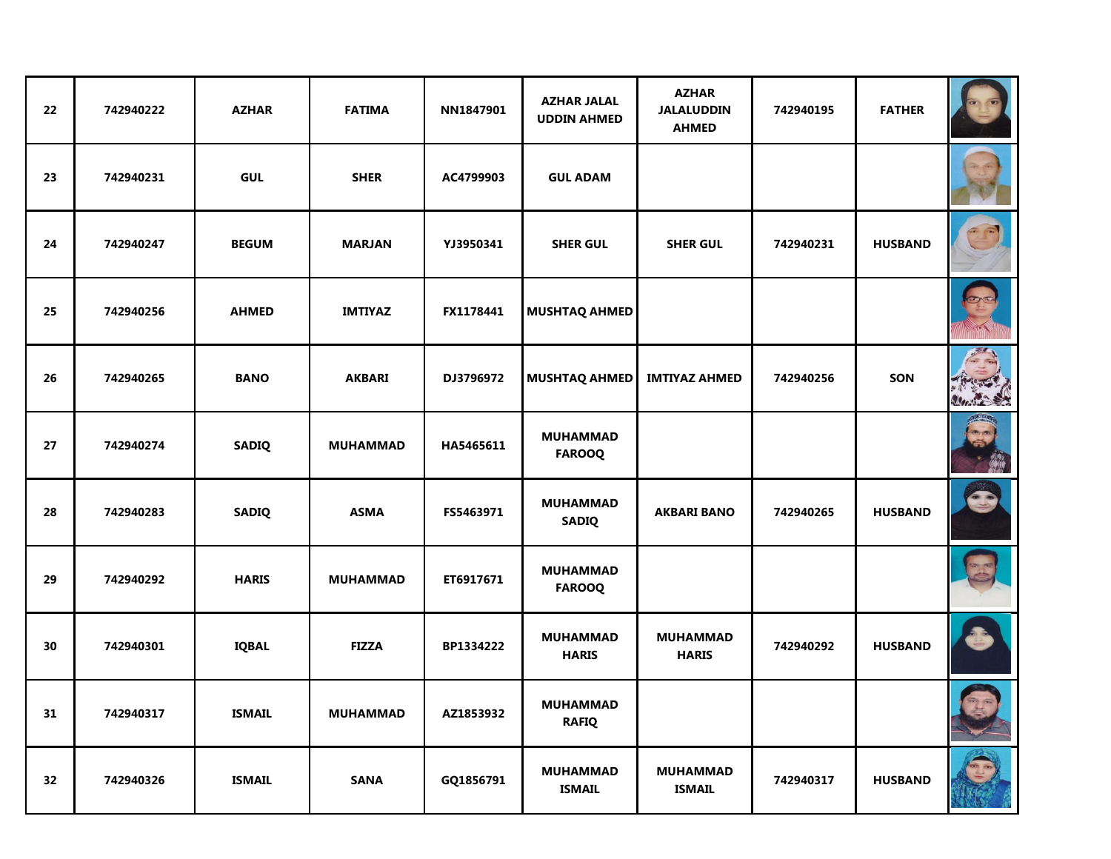| 22 | 742940222 | <b>AZHAR</b>  | <b>FATIMA</b>   | NN1847901 | <b>AZHAR JALAL</b><br><b>UDDIN AHMED</b> | <b>AZHAR</b><br><b>JALALUDDIN</b><br><b>AHMED</b> | 742940195 | <b>FATHER</b>  |             |
|----|-----------|---------------|-----------------|-----------|------------------------------------------|---------------------------------------------------|-----------|----------------|-------------|
| 23 | 742940231 | <b>GUL</b>    | <b>SHER</b>     | AC4799903 | <b>GUL ADAM</b>                          |                                                   |           |                |             |
| 24 | 742940247 | <b>BEGUM</b>  | <b>MARJAN</b>   | YJ3950341 | <b>SHER GUL</b>                          | <b>SHER GUL</b>                                   | 742940231 | <b>HUSBAND</b> |             |
| 25 | 742940256 | <b>AHMED</b>  | <b>IMTIYAZ</b>  | FX1178441 | <b>MUSHTAQ AHMED</b>                     |                                                   |           |                |             |
| 26 | 742940265 | <b>BANO</b>   | <b>AKBARI</b>   | DJ3796972 | <b>MUSHTAQ AHMED</b>                     | <b>IMTIYAZ AHMED</b>                              | 742940256 | SON            |             |
| 27 | 742940274 | <b>SADIQ</b>  | <b>MUHAMMAD</b> | HA5465611 | <b>MUHAMMAD</b><br><b>FAROOQ</b>         |                                                   |           |                |             |
| 28 | 742940283 | <b>SADIQ</b>  | <b>ASMA</b>     | FS5463971 | <b>MUHAMMAD</b><br><b>SADIQ</b>          | <b>AKBARI BANO</b>                                | 742940265 | <b>HUSBAND</b> | C           |
| 29 | 742940292 | <b>HARIS</b>  | <b>MUHAMMAD</b> | ET6917671 | <b>MUHAMMAD</b><br><b>FAROOQ</b>         |                                                   |           |                |             |
| 30 | 742940301 | <b>IQBAL</b>  | <b>FIZZA</b>    | BP1334222 | <b>MUHAMMAD</b><br><b>HARIS</b>          | <b>MUHAMMAD</b><br><b>HARIS</b>                   | 742940292 | <b>HUSBAND</b> |             |
| 31 | 742940317 | <b>ISMAIL</b> | <b>MUHAMMAD</b> | AZ1853932 | <b>MUHAMMAD</b><br><b>RAFIQ</b>          |                                                   |           |                | <b>CONT</b> |
| 32 | 742940326 | <b>ISMAIL</b> | <b>SANA</b>     | GQ1856791 | <b>MUHAMMAD</b><br><b>ISMAIL</b>         | <b>MUHAMMAD</b><br><b>ISMAIL</b>                  | 742940317 | <b>HUSBAND</b> |             |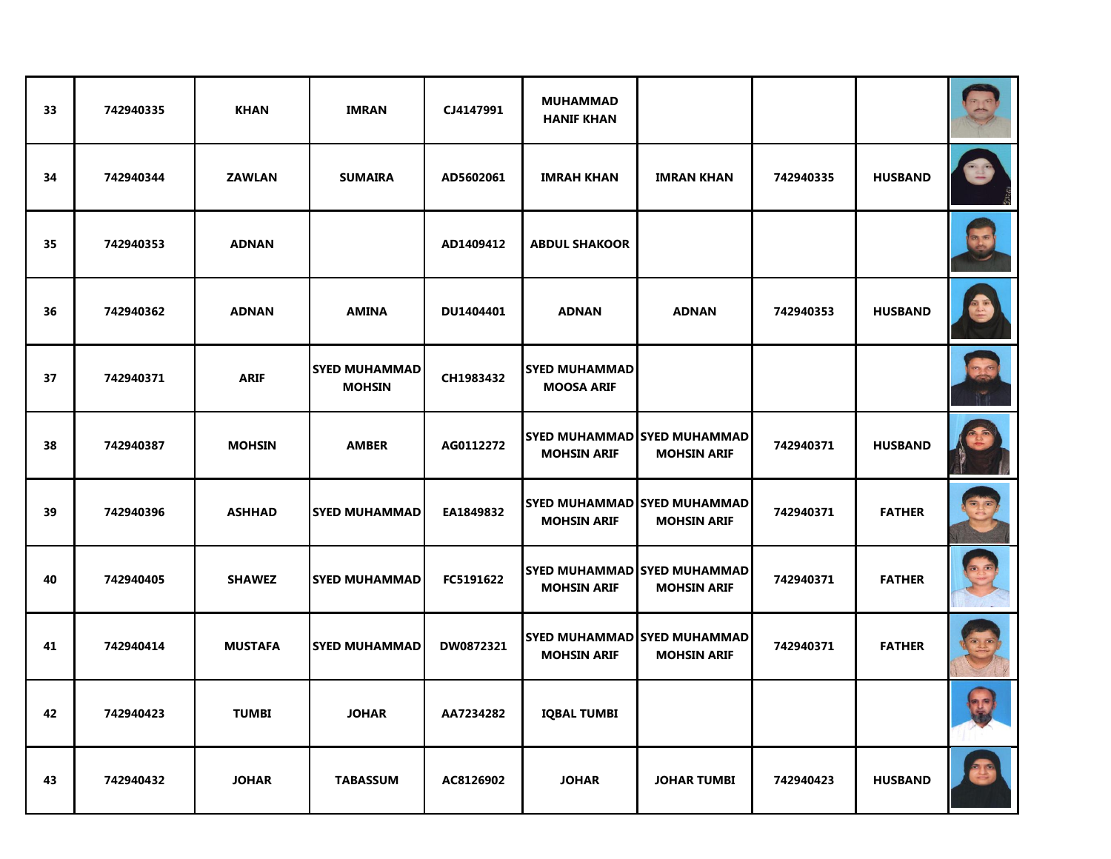| 33 | 742940335 | <b>KHAN</b>    | <b>IMRAN</b>                          | CJ4147991 | <b>MUHAMMAD</b><br><b>HANIF KHAN</b>      |                                                          |           |                |    |
|----|-----------|----------------|---------------------------------------|-----------|-------------------------------------------|----------------------------------------------------------|-----------|----------------|----|
| 34 | 742940344 | <b>ZAWLAN</b>  | <b>SUMAIRA</b>                        | AD5602061 | <b>IMRAH KHAN</b>                         | <b>IMRAN KHAN</b>                                        | 742940335 | <b>HUSBAND</b> |    |
| 35 | 742940353 | <b>ADNAN</b>   |                                       | AD1409412 | <b>ABDUL SHAKOOR</b>                      |                                                          |           |                |    |
| 36 | 742940362 | <b>ADNAN</b>   | <b>AMINA</b>                          | DU1404401 | <b>ADNAN</b>                              | <b>ADNAN</b>                                             | 742940353 | <b>HUSBAND</b> |    |
| 37 | 742940371 | <b>ARIF</b>    | <b>SYED MUHAMMAD</b><br><b>MOHSIN</b> | CH1983432 | <b>SYED MUHAMMAD</b><br><b>MOOSA ARIF</b> |                                                          |           |                | 25 |
| 38 | 742940387 | <b>MOHSIN</b>  | <b>AMBER</b>                          | AG0112272 | <b>MOHSIN ARIF</b>                        | <b>SYED MUHAMMAD SYED MUHAMMAD</b><br><b>MOHSIN ARIF</b> | 742940371 | <b>HUSBAND</b> |    |
| 39 | 742940396 | <b>ASHHAD</b>  | <b>SYED MUHAMMAD</b>                  | EA1849832 | <b>MOHSIN ARIF</b>                        | <b>SYED MUHAMMAD SYED MUHAMMAD</b><br><b>MOHSIN ARIF</b> | 742940371 | <b>FATHER</b>  |    |
| 40 | 742940405 | <b>SHAWEZ</b>  | <b>SYED MUHAMMAD</b>                  | FC5191622 | <b>MOHSIN ARIF</b>                        | <b>SYED MUHAMMAD SYED MUHAMMAD</b><br><b>MOHSIN ARIF</b> | 742940371 | <b>FATHER</b>  |    |
| 41 | 742940414 | <b>MUSTAFA</b> | <b>SYED MUHAMMAD</b>                  | DW0872321 | <b>MOHSIN ARIF</b>                        | <b>SYED MUHAMMAD SYED MUHAMMAD</b><br><b>MOHSIN ARIF</b> | 742940371 | <b>FATHER</b>  |    |
| 42 | 742940423 | <b>TUMBI</b>   | <b>JOHAR</b>                          | AA7234282 | <b>IQBAL TUMBI</b>                        |                                                          |           |                |    |
| 43 | 742940432 | <b>JOHAR</b>   | <b>TABASSUM</b>                       | AC8126902 | <b>JOHAR</b>                              | <b>JOHAR TUMBI</b>                                       | 742940423 | <b>HUSBAND</b> |    |